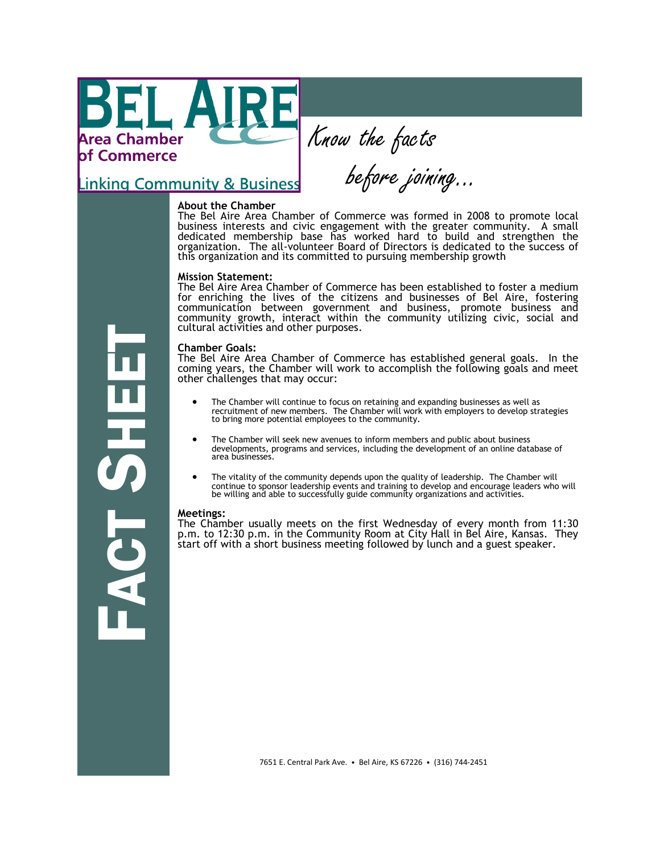Area Chamber **bf Commerce** 

Know the facts

**Linking Community & Business** 

# **About the Chamber**

The Bel Aire Area Chamber of Commerce was formed in 2008 to promote local business interests and civic engagement with the greater community. A small dedicated membership base has worked hard to build and strengthen the organization. The all-volunteer Board of Directors is dedicated to the success of this organization and its committed to pursuing membership growth

before joining...

#### **Mission Statement:**

The Bel Aire Area Chamber of Commerce has been established to foster a medium for enriching the lives of the citizens and businesses of Bel Aire, fostering communication between government and business, promote business and community growth, interact within the community utilizing civic, social and cultural activities and other purposes.

#### **Chamber Goals:**

The Bel Aire Area Chamber of Commerce has established general goals. In the coming years, the Chamber will work to accomplish the following goals and meet other challenges that may occur:

- The Chamber will continue to focus on retaining and expanding businesses as well as recruitment of new members. The Chamber will work with employers to develop strategies to bring more potential employees to the community.
- The Chamber will seek new avenues to inform members and public about business developments, programs and services, including the development of an online database of area businesses.
- The vitality of the community depends upon the quality of leadership. The Chamber will continue to sponsor leadership events and training to develop and encourage leaders who will be willing and able to successfully guide community organizations and activities.

#### **Meetings:**

 $\overline{\mathbf{C}}$ 

n<br>Fin

The Chamber usually meets on the first Wednesday of every month from 11:30 p.m. to 12:30 p.m. in the Community Room at City Hall in Bel Aire, Kansas. They start off with a short business meeting followed by lunch and a guest speaker.

7651 E. Central Park Ave. • Bel Aire, KS 67226 • (316) 744-2451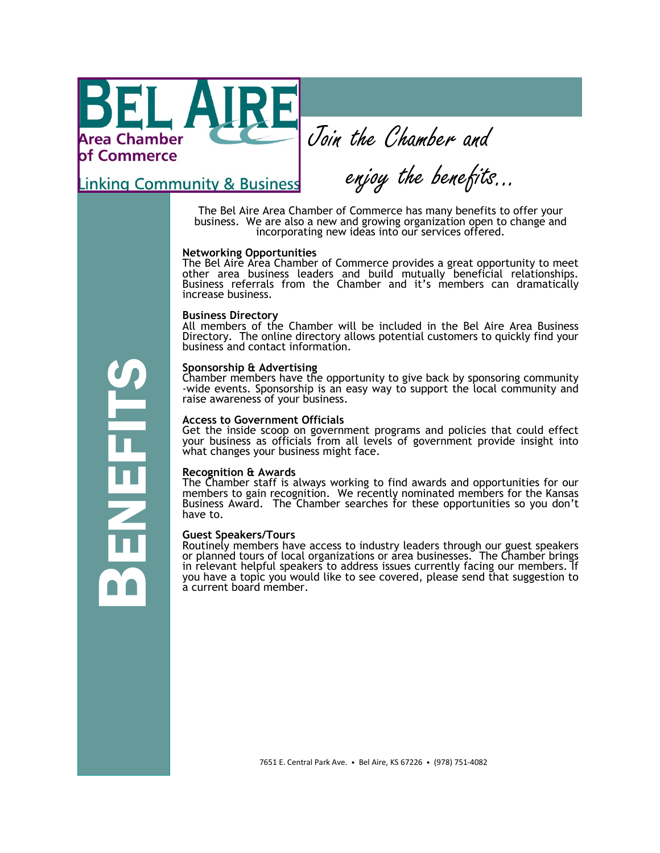Area Chamber **of Commerce** 

Join the Chamber and

<u>Linking Community & Business</u>

enjoy the benefits...

The Bel Aire Area Chamber of Commerce has many benefits to offer your business. We are also a new and growing organization open to change and incorporating new ideas into our services offered.

# **Networking Opportunities**

The Bel Aire Area Chamber of Commerce provides a great opportunity to meet other area business leaders and build mutually beneficial relationships. Business referrals from the Chamber and it's members can dramatically increase business.

#### **Business Directory**

All members of the Chamber will be included in the Bel Aire Area Business Directory. The online directory allows potential customers to quickly find your business and contact information.

# **Sponsorship & Advertising**

Chamber members have the opportunity to give back by sponsoring community -wide events. Sponsorship is an easy way to support the local community and raise awareness of your business.

#### **Access to Government Officials**

Get the inside scoop on government programs and policies that could effect your business as officials from all levels of government provide insight into what changes your business might face.

#### **Recognition & Awards**

The Chamber staff is always working to find awards and opportunities for our members to gain recognition. We recently nominated members for the Kansas Business Award. The Chamber searches for these opportunities so you don't have to.

# **Guest Speakers/Tours**

Routinely members have access to industry leaders through our guest speakers or planned tours of local organizations or area businesses. The Chamber brings in relevant helpful speakers to address issues currently facing our members. If you have a topic you would like to see covered, please send that suggestion to a current board member.

BENEFITS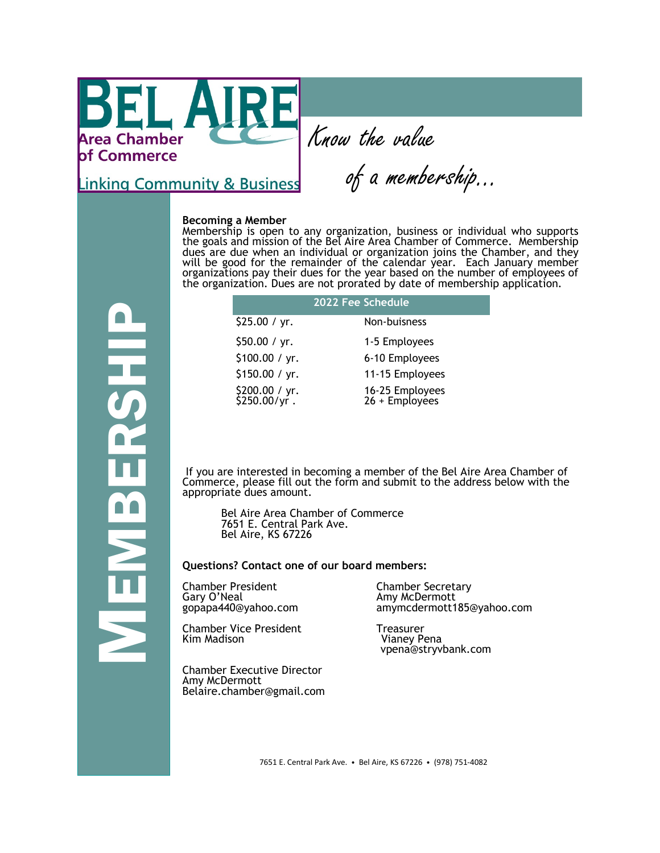LA **Area Chamber** of Commerce

Know the value

**Linking Community & Business** 

MEMBERSHIP

of a membership...

#### **Becoming a Member**

Membership is open to any organization, business or individual who supports the goals and mission of the Bel Aire Area Chamber of Commerce. Membership dues are due when an individual or organization joins the Chamber, and they will be good for the remainder of the calendar year. Each January member organizations pay their dues for the year based on the number of employees of the organization. Dues are not prorated by date of membership application.

| 2022 Fee Schedule              |                                   |  |
|--------------------------------|-----------------------------------|--|
| \$25.00 / yr.                  | Non-buisness                      |  |
| \$50.00 / yr.                  | 1-5 Employees                     |  |
| \$100.00 / yr.                 | 6-10 Employees                    |  |
| \$150.00 / yr.                 | 11-15 Employees                   |  |
| \$200.00 / yr.<br>\$250.00/yr. | 16-25 Employees<br>26 + Employees |  |

If you are interested in becoming a member of the Bel Aire Area Chamber of Commerce, please fill out the form and submit to the address below with the appropriate dues amount.

Bel Aire Area Chamber of Commerce 7651 E. Central Park Ave. Bel Aire, KS 67226

# **Questions? Contact one of our board members:**

Chamber President Chamber Secretary Gary O'Neal Amy McDermott

Chamber Vice President Freasurer<br>Kim Madison Freasurer President Changy Pr

Chamber Executive Director Amy McDermott Belaire.chamber@gmail.com amymcdermott185@yahoo.com

Vianey Pena vpena@stryvbank.com